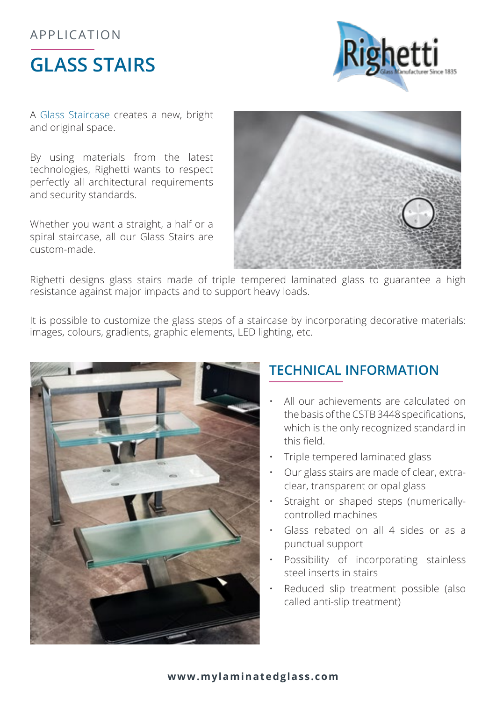## **GLASS STAIRS** APPLICATION



A Glass Staircase creates a new, bright and original space.

By using materials from the latest technologies, Righetti wants to respect perfectly all architectural requirements and security standards.

Whether you want a straight, a half or a spiral staircase, all our Glass Stairs are custom-made.



Righetti designs glass stairs made of triple tempered laminated glass to guarantee a high resistance against major impacts and to support heavy loads.

It is possible to customize the glass steps of a staircase by incorporating decorative materials: images, colours, gradients, graphic elements, LED lighting, etc.



## **TECHNICAL INFORMATION**

- All our achievements are calculated on the basis of the CSTB 3448 specifications, which is the only recognized standard in this field.
- Triple tempered laminated glass
- • Our glass stairs are made of clear, extraclear, transparent or opal glass
- Straight or shaped steps (numericallycontrolled machines
- Glass rebated on all 4 sides or as a punctual support
- • Possibility of incorporating stainless steel inserts in stairs
- Reduced slip treatment possible (also called anti-slip treatment)